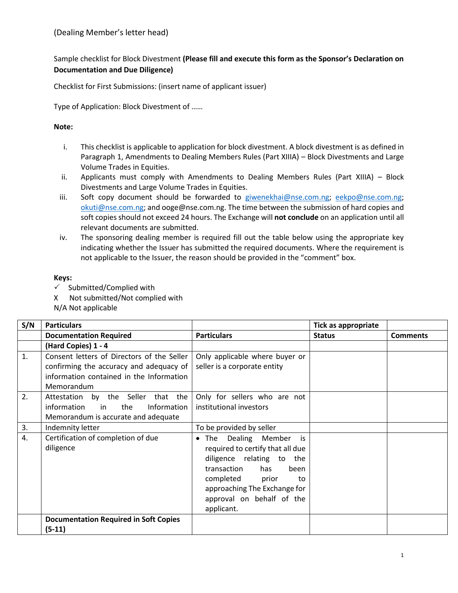## Sample checklist for Block Divestment **(Please fill and execute this form as the Sponsor's Declaration on Documentation and Due Diligence)**

Checklist for First Submissions: (insert name of applicant issuer)

Type of Application: Block Divestment of ……

## **Note:**

- i. This checklist is applicable to application for block divestment. A block divestment is as defined in Paragraph 1, Amendments to Dealing Members Rules (Part XIIIA) – Block Divestments and Large Volume Trades in Equities.
- ii. Applicants must comply with Amendments to Dealing Members Rules (Part XIIIA) Block Divestments and Large Volume Trades in Equities.
- iii. Soft copy document should be forwarded to [giwenekhai@nse.com.ng;](mailto:giwenekhai@nse.com.ng) [eekpo@nse.com.ng;](mailto:eekpo@nse.com.ng) [okuti@nse.com.ng;](mailto:okuti@nse.com.ng) and ooge@nse.com.ng. The time between the submission of hard copies and soft copies should not exceed 24 hours. The Exchange will **not conclude** on an application until all relevant documents are submitted.
- iv. The sponsoring dealing member is required fill out the table below using the appropriate key indicating whether the Issuer has submitted the required documents. Where the requirement is not applicable to the Issuer, the reason should be provided in the "comment" box.

## **Keys:**

- $\checkmark$  Submitted/Complied with
- X Not submitted/Not complied with
- N/A Not applicable

| S/N      | <b>Particulars</b>                                                                                                                                                                                                                  |                                                                                                                                                                                                                                                | <b>Tick as appropriate</b> |                 |
|----------|-------------------------------------------------------------------------------------------------------------------------------------------------------------------------------------------------------------------------------------|------------------------------------------------------------------------------------------------------------------------------------------------------------------------------------------------------------------------------------------------|----------------------------|-----------------|
|          | <b>Documentation Required</b>                                                                                                                                                                                                       | <b>Particulars</b>                                                                                                                                                                                                                             | <b>Status</b>              | <b>Comments</b> |
|          | (Hard Copies) 1 - 4                                                                                                                                                                                                                 |                                                                                                                                                                                                                                                |                            |                 |
| 1.<br>2. | Consent letters of Directors of the Seller<br>confirming the accuracy and adequacy of<br>information contained in the Information<br>Memorandum<br>Attestation by the Seller<br>that the<br>the<br>Information<br>information<br>in | Only applicable where buyer or<br>seller is a corporate entity<br>Only for sellers who are not<br>institutional investors                                                                                                                      |                            |                 |
|          | Memorandum is accurate and adequate                                                                                                                                                                                                 |                                                                                                                                                                                                                                                |                            |                 |
| 3.       | Indemnity letter                                                                                                                                                                                                                    | To be provided by seller                                                                                                                                                                                                                       |                            |                 |
| 4.       | Certification of completion of due<br>diligence                                                                                                                                                                                     | The Dealing Member<br>is<br>$\bullet$<br>required to certify that all due<br>diligence relating to<br>the<br>transaction<br>has<br>been<br>completed<br>prior<br>to<br>approaching The Exchange for<br>approval on behalf of the<br>applicant. |                            |                 |
|          | <b>Documentation Required in Soft Copies</b><br>$(5-11)$                                                                                                                                                                            |                                                                                                                                                                                                                                                |                            |                 |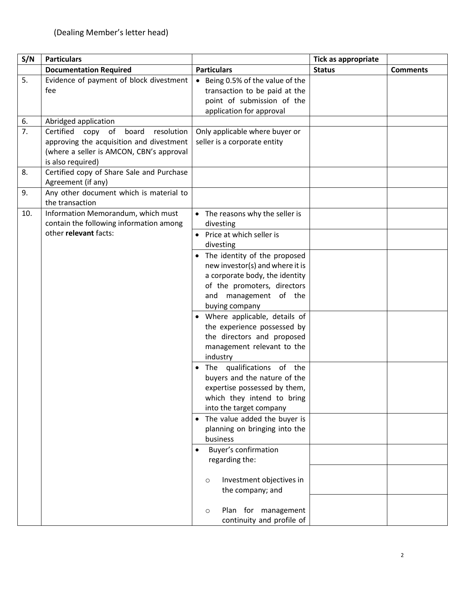| S/N                    | <b>Particulars</b>                                                                                                                                                                                 |                                                                                                                                                                                                                                                                                                                                                                                                                                                                                                                                                                                                                                                                                                                                                                                                                                   | <b>Tick as appropriate</b> |                 |
|------------------------|----------------------------------------------------------------------------------------------------------------------------------------------------------------------------------------------------|-----------------------------------------------------------------------------------------------------------------------------------------------------------------------------------------------------------------------------------------------------------------------------------------------------------------------------------------------------------------------------------------------------------------------------------------------------------------------------------------------------------------------------------------------------------------------------------------------------------------------------------------------------------------------------------------------------------------------------------------------------------------------------------------------------------------------------------|----------------------------|-----------------|
|                        | <b>Documentation Required</b>                                                                                                                                                                      | <b>Particulars</b>                                                                                                                                                                                                                                                                                                                                                                                                                                                                                                                                                                                                                                                                                                                                                                                                                | <b>Status</b>              | <b>Comments</b> |
| 5.                     | Evidence of payment of block divestment<br>fee                                                                                                                                                     | • Being 0.5% of the value of the<br>transaction to be paid at the<br>point of submission of the<br>application for approval                                                                                                                                                                                                                                                                                                                                                                                                                                                                                                                                                                                                                                                                                                       |                            |                 |
| 6.                     | Abridged application                                                                                                                                                                               |                                                                                                                                                                                                                                                                                                                                                                                                                                                                                                                                                                                                                                                                                                                                                                                                                                   |                            |                 |
| $\overline{7}$ .<br>8. | Certified copy of<br>board<br>resolution<br>approving the acquisition and divestment<br>(where a seller is AMCON, CBN's approval<br>is also required)<br>Certified copy of Share Sale and Purchase | Only applicable where buyer or<br>seller is a corporate entity                                                                                                                                                                                                                                                                                                                                                                                                                                                                                                                                                                                                                                                                                                                                                                    |                            |                 |
| 9.                     | Agreement (if any)<br>Any other document which is material to<br>the transaction                                                                                                                   |                                                                                                                                                                                                                                                                                                                                                                                                                                                                                                                                                                                                                                                                                                                                                                                                                                   |                            |                 |
| 10.                    | Information Memorandum, which must<br>contain the following information among<br>other relevant facts:                                                                                             | • The reasons why the seller is<br>divesting<br>• Price at which seller is<br>divesting<br>The identity of the proposed<br>new investor(s) and where it is<br>a corporate body, the identity<br>of the promoters, directors<br>and management of the<br>buying company<br>• Where applicable, details of<br>the experience possessed by<br>the directors and proposed<br>management relevant to the<br>industry<br>• The qualifications of the<br>buyers and the nature of the<br>expertise possessed by them,<br>which they intend to bring<br>into the target company<br>• The value added the buyer is<br>planning on bringing into the<br>business<br><b>Buyer's confirmation</b><br>regarding the:<br>Investment objectives in<br>$\circ$<br>the company; and<br>Plan for management<br>$\circ$<br>continuity and profile of |                            |                 |